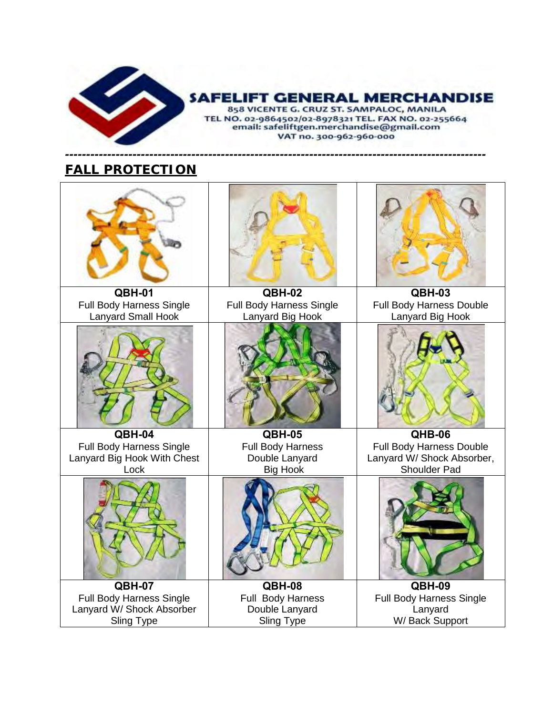

# **SAFELIFT GENERAL MERCHANDISE**

858 VICENTE G. CRUZ ST. SAMPALOC, MANILA TEL NO. 02-9864502/02-8978321 TEL. FAX NO. 02-255664<br>email: safeliftgen.merchandise@gmail.com VAT no. 300-962-960-000

## *---------------------------------------------------------------------------------------------------- FALL PROTECTION*

| QBH-01<br>QBH-02<br>QBH-03<br>Full Body Harness Single<br><b>Full Body Harness Single</b><br>Full Body Harness Double<br><b>Lanyard Small Hook</b><br>Lanyard Big Hook<br>Lanyard Big Hook<br>QBH-04<br><b>QBH-05</b><br>QHB-06<br><b>Full Body Harness Single</b><br>Full Body Harness Double<br><b>Full Body Harness</b><br>Lanyard Big Hook With Chest<br>Lanyard W/ Shock Absorber,<br>Double Lanyard<br><b>Shoulder Pad</b><br>Lock<br><b>Big Hook</b><br><b>QBH-07</b><br>QBH-08<br>QBH-09<br>Full Body Harness Single<br>Full Body Harness<br><b>Full Body Harness Single</b><br>Lanyard W/ Shock Absorber<br>Double Lanyard<br>Lanyard<br>W/Back Support<br><b>Sling Type</b><br>Sling Type |  |  |
|-----------------------------------------------------------------------------------------------------------------------------------------------------------------------------------------------------------------------------------------------------------------------------------------------------------------------------------------------------------------------------------------------------------------------------------------------------------------------------------------------------------------------------------------------------------------------------------------------------------------------------------------------------------------------------------------------------|--|--|
|                                                                                                                                                                                                                                                                                                                                                                                                                                                                                                                                                                                                                                                                                                     |  |  |
|                                                                                                                                                                                                                                                                                                                                                                                                                                                                                                                                                                                                                                                                                                     |  |  |
|                                                                                                                                                                                                                                                                                                                                                                                                                                                                                                                                                                                                                                                                                                     |  |  |
|                                                                                                                                                                                                                                                                                                                                                                                                                                                                                                                                                                                                                                                                                                     |  |  |
|                                                                                                                                                                                                                                                                                                                                                                                                                                                                                                                                                                                                                                                                                                     |  |  |
|                                                                                                                                                                                                                                                                                                                                                                                                                                                                                                                                                                                                                                                                                                     |  |  |
|                                                                                                                                                                                                                                                                                                                                                                                                                                                                                                                                                                                                                                                                                                     |  |  |
|                                                                                                                                                                                                                                                                                                                                                                                                                                                                                                                                                                                                                                                                                                     |  |  |
|                                                                                                                                                                                                                                                                                                                                                                                                                                                                                                                                                                                                                                                                                                     |  |  |
|                                                                                                                                                                                                                                                                                                                                                                                                                                                                                                                                                                                                                                                                                                     |  |  |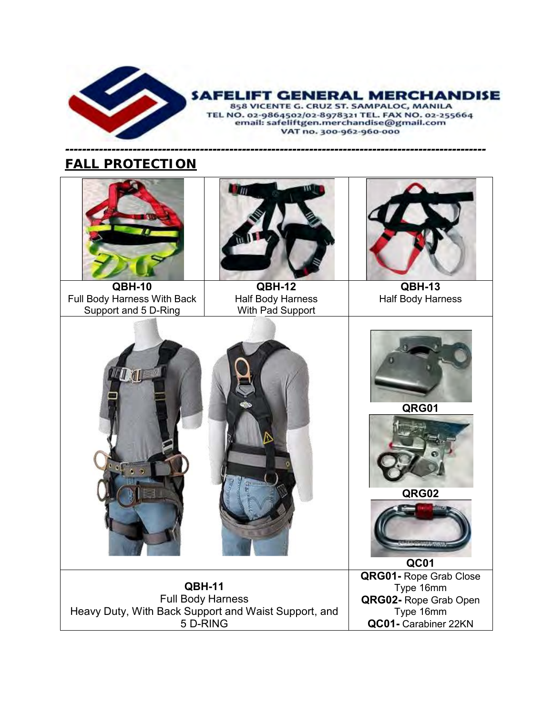

#### **IFT GENERAL MERCHANDISE** 」

858 VICENTE G. CRUZ ST. SAMPALOC, MANILA TEL NO. 02-9864502/02-8978321 TEL. FAX NO. 02-255664<br>email: safeliftgen.merchandise@gmail.com VAT no. 300-962-960-000

### *---------------------------------------------------------------------------------------------------- FALL PROTECTION*



Full Body Harness With Back Support and 5 D-Ring



**QBH-12** Half Body Harness With Pad Support



**QBH-13** Half Body Harness